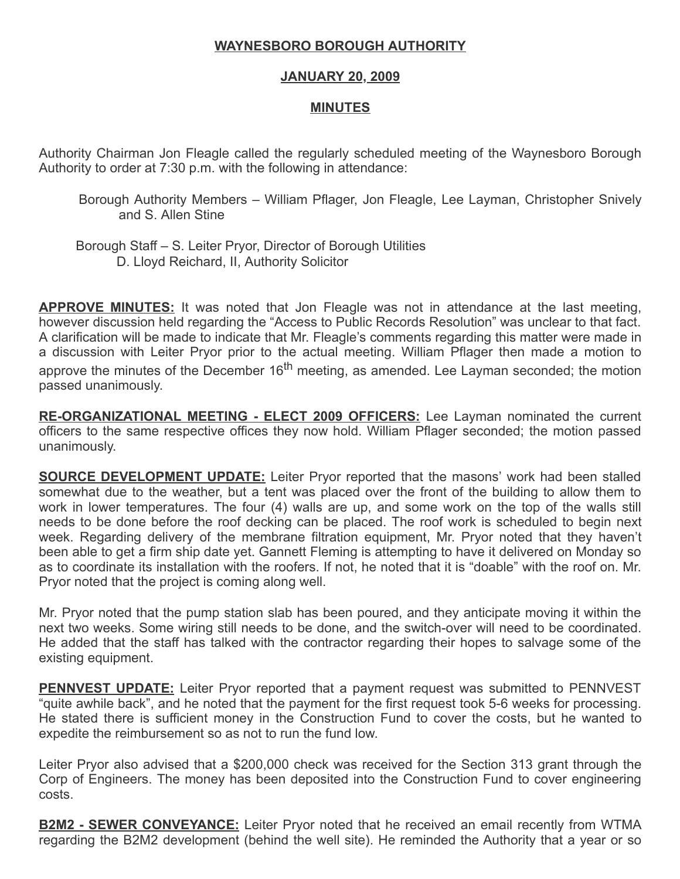## WAYNESBORO BOROUGH AUTHORITY

## JANUARY 20, 2009

## MINUTES

Authority Chairman Jon Fleagle called the regularly scheduled meeting of the Waynesboro Borough Authority to order at 7:30 p.m. with the following in attendance:

- Borough Authority Members William Pflager, Jon Fleagle, Lee Layman, Christopher Snively and S. Allen Stine
- Borough Staff S. Leiter Pryor, Director of Borough Utilities D. Lloyd Reichard, II, Authority Solicitor

**APPROVE MINUTES:** It was noted that Jon Fleagle was not in attendance at the last meeting, however discussion held regarding the "Access to Public Records Resolution" was unclear to that fact. A clarification will be made to indicate that Mr. Fleagle's comments regarding this matter were made in a discussion with Leiter Pryor prior to the actual meeting. William Pflager then made a motion to approve the minutes of the December  $16<sup>th</sup>$  meeting, as amended. Lee Layman seconded; the motion passed unanimously.

RE-ORGANIZATIONAL MEETING - ELECT 2009 OFFICERS: Lee Layman nominated the current officers to the same respective offices they now hold. William Pflager seconded; the motion passed unanimously.

**SOURCE DEVELOPMENT UPDATE:** Leiter Pryor reported that the masons' work had been stalled somewhat due to the weather, but a tent was placed over the front of the building to allow them to work in lower temperatures. The four (4) walls are up, and some work on the top of the walls still needs to be done before the roof decking can be placed. The roof work is scheduled to begin next week. Regarding delivery of the membrane filtration equipment, Mr. Pryor noted that they haven't been able to get a firm ship date yet. Gannett Fleming is attempting to have it delivered on Monday so as to coordinate its installation with the roofers. If not, he noted that it is "doable" with the roof on. Mr. Pryor noted that the project is coming along well.

Mr. Pryor noted that the pump station slab has been poured, and they anticipate moving it within the next two weeks. Some wiring still needs to be done, and the switch-over will need to be coordinated. He added that the staff has talked with the contractor regarding their hopes to salvage some of the existing equipment.

**PENNVEST UPDATE:** Leiter Pryor reported that a payment request was submitted to PENNVEST "quite awhile back", and he noted that the payment for the first request took 5-6 weeks for processing. He stated there is sufficient money in the Construction Fund to cover the costs, but he wanted to expedite the reimbursement so as not to run the fund low.

Leiter Pryor also advised that a \$200,000 check was received for the Section 313 grant through the Corp of Engineers. The money has been deposited into the Construction Fund to cover engineering costs.

**B2M2 - SEWER CONVEYANCE:** Leiter Pryor noted that he received an email recently from WTMA regarding the B2M2 development (behind the well site). He reminded the Authority that a year or so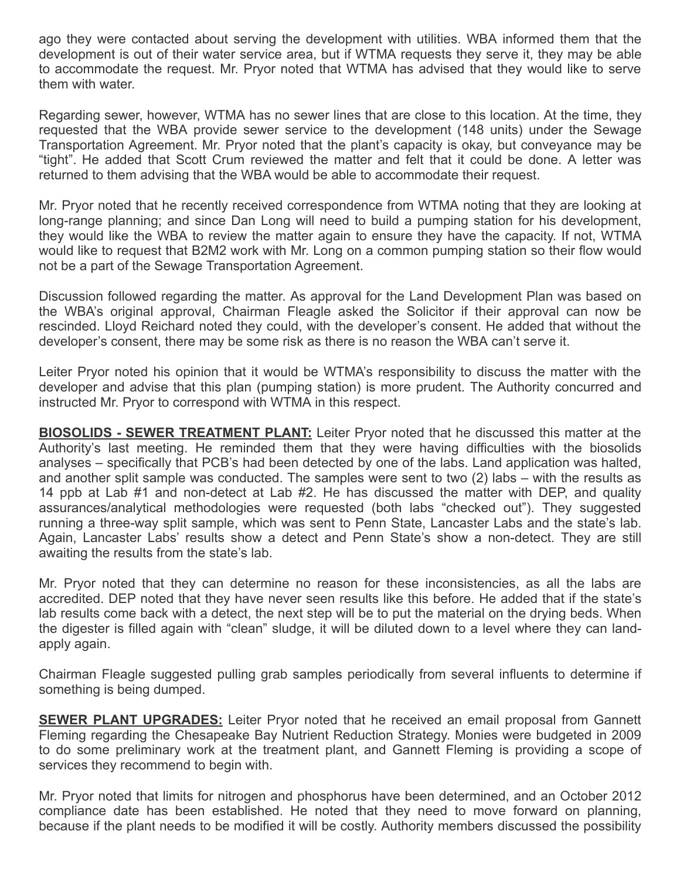ago they were contacted about serving the development with utilities. WBA informed them that the development is out of their water service area, but if WTMA requests they serve it, they may be able to accommodate the request. Mr. Pryor noted that WTMA has advised that they would like to serve them with water.

Regarding sewer, however, WTMA has no sewer lines that are close to this location. At the time, they requested that the WBA provide sewer service to the development (148 units) under the Sewage Transportation Agreement. Mr. Pryor noted that the plant's capacity is okay, but conveyance may be "tight". He added that Scott Crum reviewed the matter and felt that it could be done. A letter was returned to them advising that the WBA would be able to accommodate their request.

Mr. Pryor noted that he recently received correspondence from WTMA noting that they are looking at long-range planning; and since Dan Long will need to build a pumping station for his development, they would like the WBA to review the matter again to ensure they have the capacity. If not, WTMA would like to request that B2M2 work with Mr. Long on a common pumping station so their flow would not be a part of the Sewage Transportation Agreement.

Discussion followed regarding the matter. As approval for the Land Development Plan was based on the WBA's original approval, Chairman Fleagle asked the Solicitor if their approval can now be rescinded. Lloyd Reichard noted they could, with the developer's consent. He added that without the developer's consent, there may be some risk as there is no reason the WBA can't serve it.

Leiter Pryor noted his opinion that it would be WTMA's responsibility to discuss the matter with the developer and advise that this plan (pumping station) is more prudent. The Authority concurred and instructed Mr. Pryor to correspond with WTMA in this respect.

**BIOSOLIDS - SEWER TREATMENT PLANT:** Leiter Pryor noted that he discussed this matter at the Authority's last meeting. He reminded them that they were having difficulties with the biosolids analyses – specifically that PCB's had been detected by one of the labs. Land application was halted, and another split sample was conducted. The samples were sent to two (2) labs – with the results as 14 ppb at Lab #1 and non-detect at Lab #2. He has discussed the matter with DEP, and quality assurances/analytical methodologies were requested (both labs "checked out"). They suggested running a three-way split sample, which was sent to Penn State, Lancaster Labs and the state's lab. Again, Lancaster Labs' results show a detect and Penn State's show a non-detect. They are still awaiting the results from the state's lab.

Mr. Pryor noted that they can determine no reason for these inconsistencies, as all the labs are accredited. DEP noted that they have never seen results like this before. He added that if the state's lab results come back with a detect, the next step will be to put the material on the drying beds. When the digester is filled again with "clean" sludge, it will be diluted down to a level where they can landapply again.

Chairman Fleagle suggested pulling grab samples periodically from several influents to determine if something is being dumped.

**SEWER PLANT UPGRADES:** Leiter Pryor noted that he received an email proposal from Gannett Fleming regarding the Chesapeake Bay Nutrient Reduction Strategy. Monies were budgeted in 2009 to do some preliminary work at the treatment plant, and Gannett Fleming is providing a scope of services they recommend to begin with.

Mr. Pryor noted that limits for nitrogen and phosphorus have been determined, and an October 2012 compliance date has been established. He noted that they need to move forward on planning, because if the plant needs to be modified it will be costly. Authority members discussed the possibility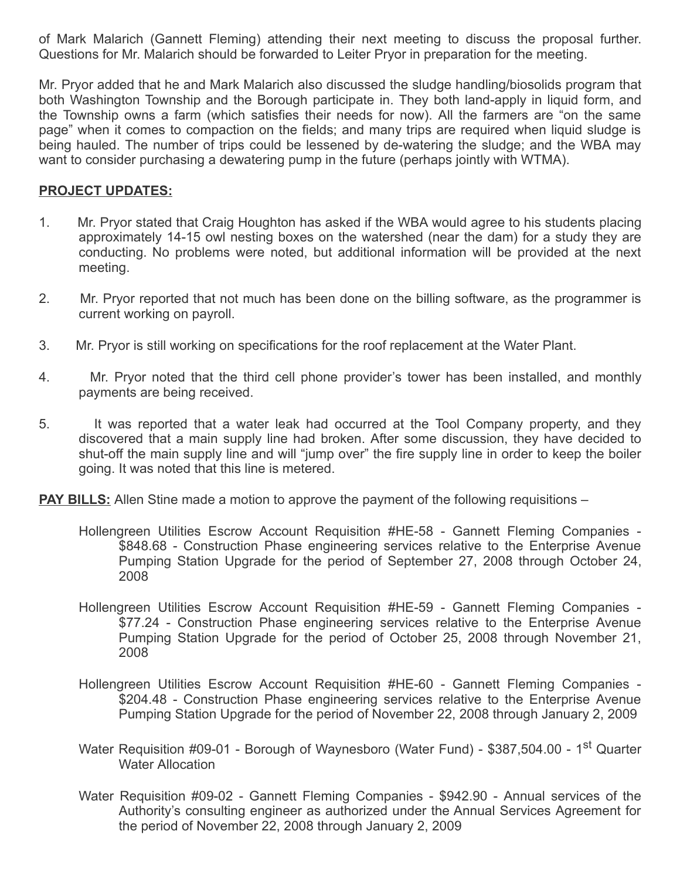of Mark Malarich (Gannett Fleming) attending their next meeting to discuss the proposal further. Questions for Mr. Malarich should be forwarded to Leiter Pryor in preparation for the meeting.

Mr. Pryor added that he and Mark Malarich also discussed the sludge handling/biosolids program that both Washington Township and the Borough participate in. They both land-apply in liquid form, and the Township owns a farm (which satisfies their needs for now). All the farmers are "on the same page" when it comes to compaction on the fields; and many trips are required when liquid sludge is being hauled. The number of trips could be lessened by de-watering the sludge; and the WBA may want to consider purchasing a dewatering pump in the future (perhaps jointly with WTMA).

## PROJECT UPDATES:

- 1. Mr. Pryor stated that Craig Houghton has asked if the WBA would agree to his students placing approximately 14-15 owl nesting boxes on the watershed (near the dam) for a study they are conducting. No problems were noted, but additional information will be provided at the next meeting.
- 2. Mr. Pryor reported that not much has been done on the billing software, as the programmer is current working on payroll.
- 3. Mr. Pryor is still working on specifications for the roof replacement at the Water Plant.
- 4. Mr. Pryor noted that the third cell phone provider's tower has been installed, and monthly payments are being received.
- 5. It was reported that a water leak had occurred at the Tool Company property, and they discovered that a main supply line had broken. After some discussion, they have decided to shut-off the main supply line and will "jump over" the fire supply line in order to keep the boiler going. It was noted that this line is metered.

**PAY BILLS:** Allen Stine made a motion to approve the payment of the following requisitions –

- Hollengreen Utilities Escrow Account Requisition #HE-58 Gannett Fleming Companies \$848.68 - Construction Phase engineering services relative to the Enterprise Avenue Pumping Station Upgrade for the period of September 27, 2008 through October 24, 2008
- Hollengreen Utilities Escrow Account Requisition #HE-59 Gannett Fleming Companies \$77.24 - Construction Phase engineering services relative to the Enterprise Avenue Pumping Station Upgrade for the period of October 25, 2008 through November 21, 2008
- Hollengreen Utilities Escrow Account Requisition #HE-60 Gannett Fleming Companies \$204.48 - Construction Phase engineering services relative to the Enterprise Avenue Pumping Station Upgrade for the period of November 22, 2008 through January 2, 2009
- Water Requisition #09-01 Borough of Waynesboro (Water Fund) \$387,504.00 1<sup>st</sup> Quarter Water Allocation
- Water Requisition #09-02 Gannett Fleming Companies \$942.90 Annual services of the Authority's consulting engineer as authorized under the Annual Services Agreement for the period of November 22, 2008 through January 2, 2009